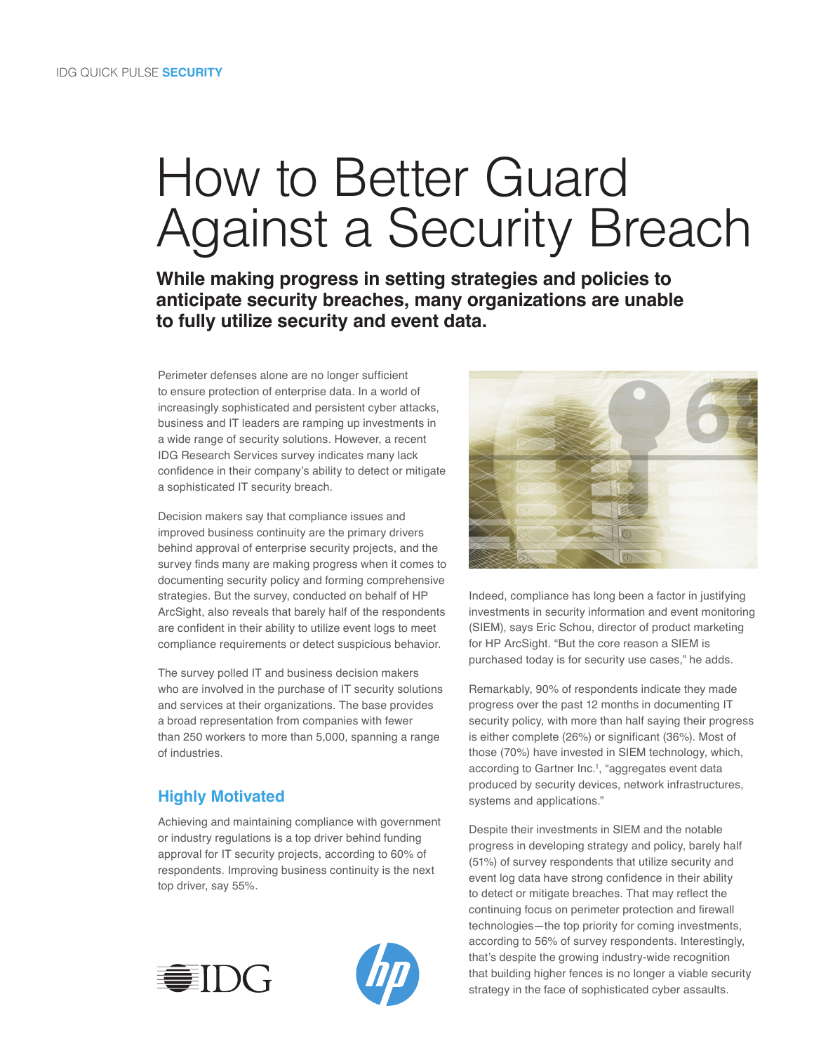# How to Better Guard Against a Security Breach

**While making progress in setting strategies and policies to anticipate security breaches, many organizations are unable to fully utilize security and event data.** 

Perimeter defenses alone are no longer sufficient to ensure protection of enterprise data. In a world of increasingly sophisticated and persistent cyber attacks, business and IT leaders are ramping up investments in a wide range of security solutions. However, a recent IDG Research Services survey indicates many lack confidence in their company's ability to detect or mitigate a sophisticated IT security breach.

Decision makers say that compliance issues and improved business continuity are the primary drivers behind approval of enterprise security projects, and the survey finds many are making progress when it comes to documenting security policy and forming comprehensive strategies. But the survey, conducted on behalf of HP ArcSight, also reveals that barely half of the respondents are confident in their ability to utilize event logs to meet compliance requirements or detect suspicious behavior.

The survey polled IT and business decision makers who are involved in the purchase of IT security solutions and services at their organizations. The base provides a broad representation from companies with fewer than 250 workers to more than 5,000, spanning a range of industries.

## **Highly Motivated**

Achieving and maintaining compliance with government or industry regulations is a top driver behind funding approval for IT security projects, according to 60% of respondents. Improving business continuity is the next top driver, say 55%.







Indeed, compliance has long been a factor in justifying investments in security information and event monitoring (SIEM), says Eric Schou, director of product marketing for HP ArcSight. "But the core reason a SIEM is purchased today is for security use cases," he adds.

Remarkably, 90% of respondents indicate they made progress over the past 12 months in documenting IT security policy, with more than half saying their progress is either complete (26%) or significant (36%). Most of those (70%) have invested in SIEM technology, which, according to Gartner Inc.<sup>1</sup>, "aggregates event data produced by security devices, network infrastructures, systems and applications."

Despite their investments in SIEM and the notable progress in developing strategy and policy, barely half (51%) of survey respondents that utilize security and event log data have strong confidence in their ability to detect or mitigate breaches. That may reflect the continuing focus on perimeter protection and firewall technologies—the top priority for coming investments, according to 56% of survey respondents. Interestingly, that's despite the growing industry-wide recognition that building higher fences is no longer a viable security strategy in the face of sophisticated cyber assaults.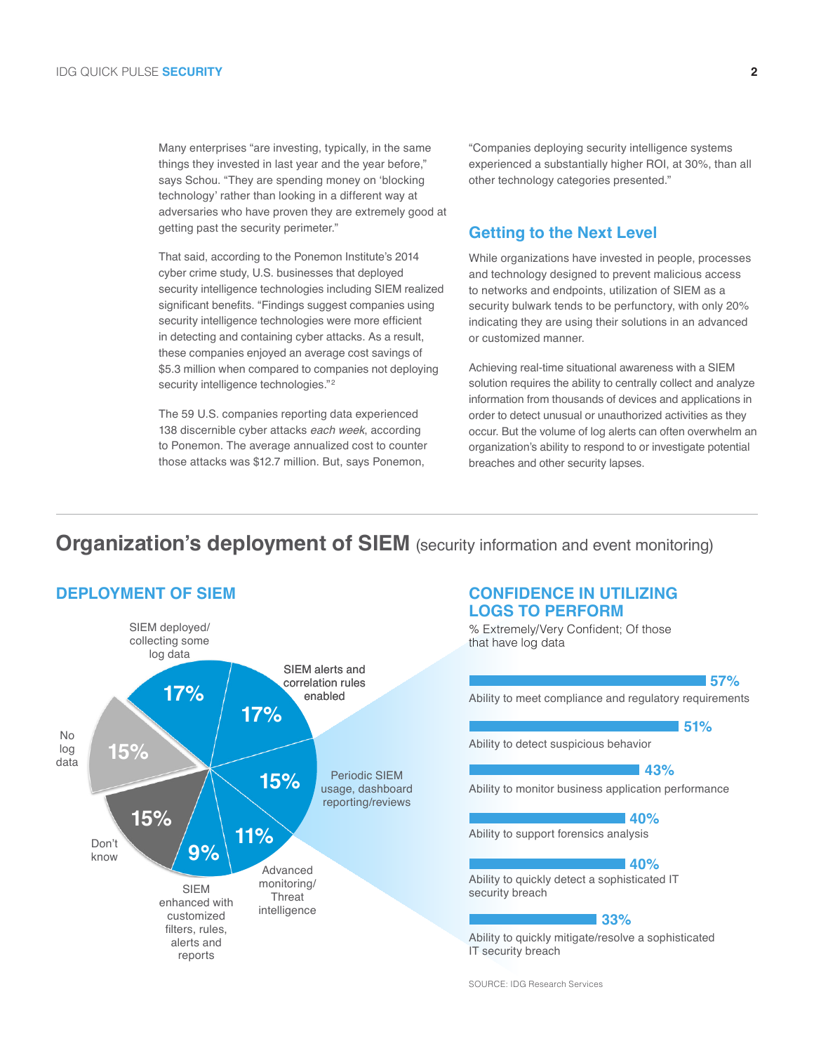Many enterprises "are investing, typically, in the same things they invested in last year and the year before," says Schou. "They are spending money on 'blocking technology' rather than looking in a different way at adversaries who have proven they are extremely good at getting past the security perimeter."

That said, according to the Ponemon Institute's 2014 cyber crime study, U.S. businesses that deployed security intelligence technologies including SIEM realized significant benefits. "Findings suggest companies using security intelligence technologies were more efficient in detecting and containing cyber attacks. As a result, these companies enjoyed an average cost savings of \$5.3 million when compared to companies not deploying security intelligence technologies."<sup>2</sup>

The 59 U.S. companies reporting data experienced 138 discernible cyber attacks *each week*, according to Ponemon. The average annualized cost to counter those attacks was \$12.7 million. But, says Ponemon,

"Companies deploying security intelligence systems experienced a substantially higher ROI, at 30%, than all other technology categories presented."

#### **Getting to the Next Level**

While organizations have invested in people, processes and technology designed to prevent malicious access to networks and endpoints, utilization of SIEM as a security bulwark tends to be perfunctory, with only 20% indicating they are using their solutions in an advanced or customized manner.

Achieving real-time situational awareness with a SIEM solution requires the ability to centrally collect and analyze information from thousands of devices and applications in order to detect unusual or unauthorized activities as they occur. But the volume of log alerts can often overwhelm an organization's ability to respond to or investigate potential breaches and other security lapses.

# **Organization's deployment of SIEM** (security information and event monitoring)



# **LOGS TO PERFORM**

% Extremely/Very Confident; Of those that have log data

Ability to meet compliance and regulatory requirements Ability to detect suspicious behavior Ability to monitor business application performance Ability to support forensics analysis Ability to quickly detect a sophisticated IT security breach Ability to quickly mitigate/resolve a sophisticated IT security breach **57% 51% 43% 40% 40% 33%**

SOURCE: IDG Research Services